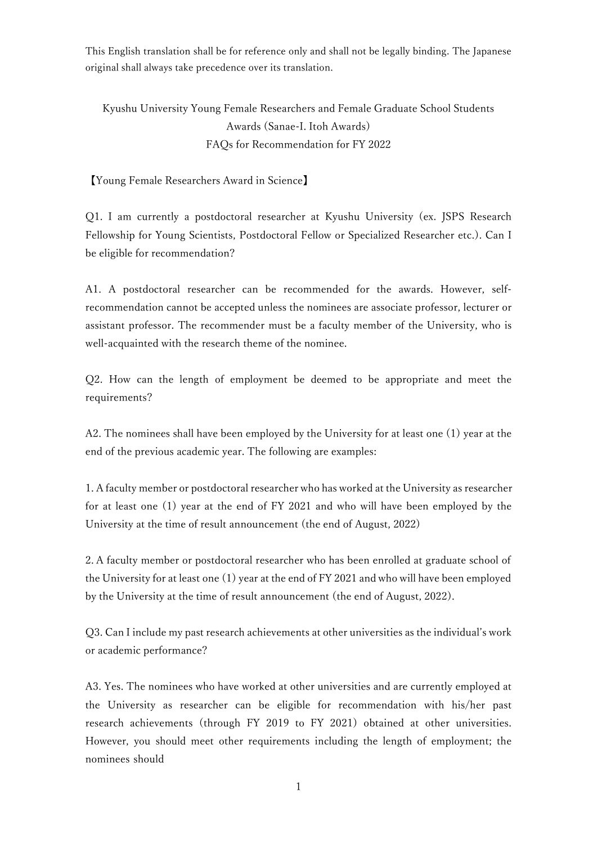This English translation shall be for reference only and shall not be legally binding. The Japanese original shall always take precedence over its translation.

Kyushu University Young Female Researchers and Female Graduate School Students Awards (Sanae-I. Itoh Awards) FAQs for Recommendation for FY 2022

【Young Female Researchers Award in Science】

Q1. I am currently a postdoctoral researcher at Kyushu University (ex. JSPS Research Fellowship for Young Scientists, Postdoctoral Fellow or Specialized Researcher etc.). Can I be eligible for recommendation?

A1. A postdoctoral researcher can be recommended for the awards. However, selfrecommendation cannot be accepted unless the nominees are associate professor, lecturer or assistant professor. The recommender must be a faculty member of the University, who is well-acquainted with the research theme of the nominee.

Q2. How can the length of employment be deemed to be appropriate and meet the requirements?

A2. The nominees shall have been employed by the University for at least one (1) year at the end of the previous academic year. The following are examples:

1. A faculty member or postdoctoral researcher who has worked at the University as researcher for at least one (1) year at the end of FY 2021 and who will have been employed by the University at the time of result announcement (the end of August, 2022)

2. A faculty member or postdoctoral researcher who has been enrolled at graduate school of the University for at least one (1) year at the end of FY 2021 and who will have been employed by the University at the time of result announcement (the end of August, 2022).

Q3. Can I include my past research achievements at other universities as the individual's work or academic performance?

A3. Yes. The nominees who have worked at other universities and are currently employed at the University as researcher can be eligible for recommendation with his/her past research achievements (through FY 2019 to FY 2021) obtained at other universities. However, you should meet other requirements including the length of employment; the nominees should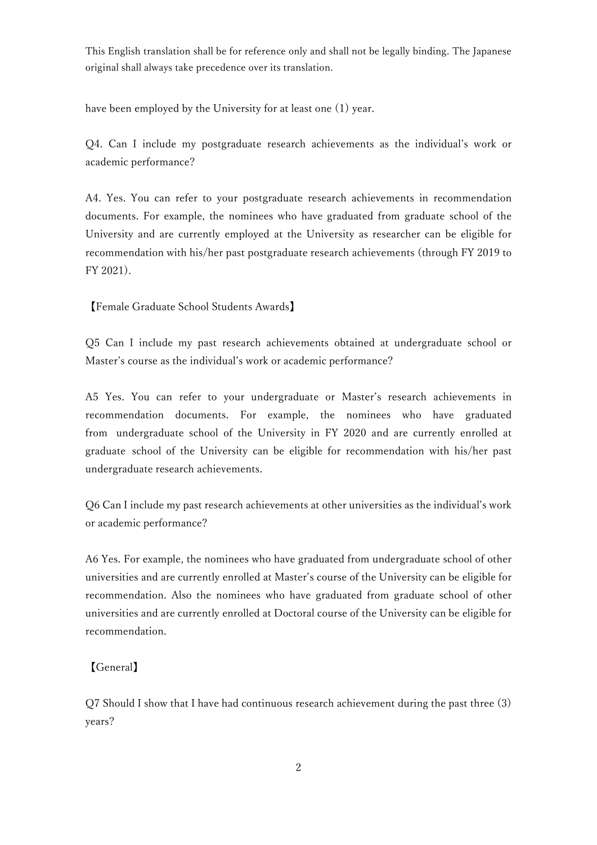This English translation shall be for reference only and shall not be legally binding. The Japanese original shall always take precedence over its translation.

have been employed by the University for at least one (1) year.

Q4. Can I include my postgraduate research achievements as the individual's work or academic performance?

A4. Yes. You can refer to your postgraduate research achievements in recommendation documents. For example, the nominees who have graduated from graduate school of the University and are currently employed at the University as researcher can be eligible for recommendation with his/her past postgraduate research achievements (through FY 2019 to FY 2021).

【Female Graduate School Students Awards】

Q5 Can I include my past research achievements obtained at undergraduate school or Master's course as the individual's work or academic performance?

A5 Yes. You can refer to your undergraduate or Master's research achievements in recommendation documents. For example, the nominees who have graduated from undergraduate school of the University in FY 2020 and are currently enrolled at graduate school of the University can be eligible for recommendation with his/her past undergraduate research achievements.

Q6 Can I include my past research achievements at other universities as the individual's work or academic performance?

A6 Yes. For example, the nominees who have graduated from undergraduate school of other universities and are currently enrolled at Master's course of the University can be eligible for recommendation. Also the nominees who have graduated from graduate school of other universities and are currently enrolled at Doctoral course of the University can be eligible for recommendation.

## 【General】

Q7 Should I show that I have had continuous research achievement during the past three (3) years?